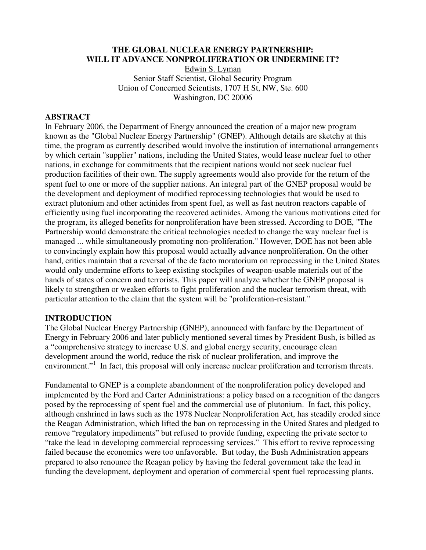# **THE GLOBAL NUCLEAR ENERGY PARTNERSHIP: WILL IT ADVANCE NONPROLIFERATION OR UNDERMINE IT?**

Edwin S. Lyman Senior Staff Scientist, Global Security Program Union of Concerned Scientists, 1707 H St, NW, Ste. 600 Washington, DC 20006

### **ABSTRACT**

In February 2006, the Department of Energy announced the creation of a major new program known as the "Global Nuclear Energy Partnership" (GNEP). Although details are sketchy at this time, the program as currently described would involve the institution of international arrangements by which certain "supplier" nations, including the United States, would lease nuclear fuel to other nations, in exchange for commitments that the recipient nations would not seek nuclear fuel production facilities of their own. The supply agreements would also provide for the return of the spent fuel to one or more of the supplier nations. An integral part of the GNEP proposal would be the development and deployment of modified reprocessing technologies that would be used to extract plutonium and other actinides from spent fuel, as well as fast neutron reactors capable of efficiently using fuel incorporating the recovered actinides. Among the various motivations cited for the program, its alleged benefits for nonproliferation have been stressed. According to DOE, "The Partnership would demonstrate the critical technologies needed to change the way nuclear fuel is managed ... while simultaneously promoting non-proliferation." However, DOE has not been able to convincingly explain how this proposal would actually advance nonproliferation. On the other hand, critics maintain that a reversal of the de facto moratorium on reprocessing in the United States would only undermine efforts to keep existing stockpiles of weapon-usable materials out of the hands of states of concern and terrorists. This paper will analyze whether the GNEP proposal is likely to strengthen or weaken efforts to fight proliferation and the nuclear terrorism threat, with particular attention to the claim that the system will be "proliferation-resistant."

#### **INTRODUCTION**

The Global Nuclear Energy Partnership (GNEP), announced with fanfare by the Department of Energy in February 2006 and later publicly mentioned several times by President Bush, is billed as a "comprehensive strategy to increase U.S. and global energy security, encourage clean development around the world, reduce the risk of nuclear proliferation, and improve the environment."<sup>1</sup> In fact, this proposal will only increase nuclear proliferation and terrorism threats.

Fundamental to GNEP is a complete abandonment of the nonproliferation policy developed and implemented by the Ford and Carter Administrations: a policy based on a recognition of the dangers posed by the reprocessing of spent fuel and the commercial use of plutonium. In fact, this policy, although enshrined in laws such as the 1978 Nuclear Nonproliferation Act, has steadily eroded since the Reagan Administration, which lifted the ban on reprocessing in the United States and pledged to remove "regulatory impediments" but refused to provide funding, expecting the private sector to "take the lead in developing commercial reprocessing services." This effort to revive reprocessing failed because the economics were too unfavorable. But today, the Bush Administration appears prepared to also renounce the Reagan policy by having the federal government take the lead in funding the development, deployment and operation of commercial spent fuel reprocessing plants.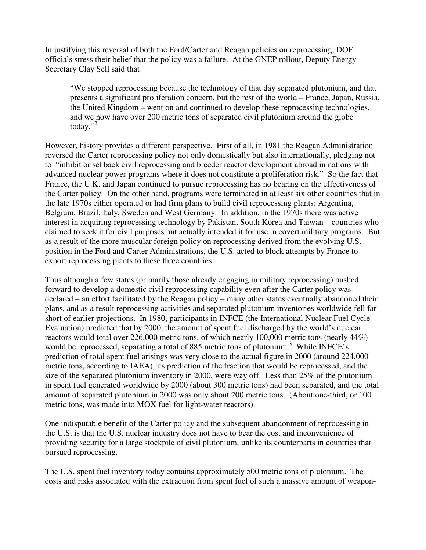In justifying this reversal of both the Ford/Carter and Reagan policies on reprocessing, DOE officials stress their belief that the policy was a failure. At the GNEP rollout, Deputy Energy Secretary Clay Sell said that

"We stopped reprocessing because the technology of that day separated plutonium, and that presents a significant proliferation concern, but the rest of the world – France, Japan, Russia, the United Kingdom – went on and continued to develop these reprocessing technologies, and we now have over 200 metric tons of separated civil plutonium around the globe today." $^{2}$ 

However, history provides a different perspective. First of all, in 1981 the Reagan Administration reversed the Carter reprocessing policy not only domestically but also internationally, pledging not to "inhibit or set back civil reprocessing and breeder reactor development abroad in nations with advanced nuclear power programs where it does not constitute a proliferation risk." So the fact that France, the U.K. and Japan continued to pursue reprocessing has no bearing on the effectiveness of the Carter policy. On the other hand, programs were terminated in at least six other countries that in the late 1970s either operated or had firm plans to build civil reprocessing plants: Argentina, Belgium, Brazil, Italy, Sweden and West Germany. In addition, in the 1970s there was active interest in acquiring reprocessing technology by Pakistan, South Korea and Taiwan – countries who claimed to seek it for civil purposes but actually intended it for use in covert military programs. But as a result of the more muscular foreign policy on reprocessing derived from the evolving U.S. position in the Ford and Carter Administrations, the U.S. acted to block attempts by France to export reprocessing plants to these three countries.

Thus although a few states (primarily those already engaging in military reprocessing) pushed forward to develop a domestic civil reprocessing capability even after the Carter policy was declared – an effort facilitated by the Reagan policy – many other states eventually abandoned their plans, and as a result reprocessing activities and separated plutonium inventories worldwide fell far short of earlier projections. In 1980, participants in INFCE (the International Nuclear Fuel Cycle Evaluation) predicted that by 2000, the amount of spent fuel discharged by the world's nuclear reactors would total over 226,000 metric tons, of which nearly 100,000 metric tons (nearly 44%) would be reprocessed, separating a total of 885 metric tons of plutonium.<sup>3</sup> While INFCE's prediction of total spent fuel arisings was very close to the actual figure in 2000 (around 224,000 metric tons, according to IAEA), its prediction of the fraction that would be reprocessed, and the size of the separated plutonium inventory in 2000, were way off. Less than 25% of the plutonium in spent fuel generated worldwide by 2000 (about 300 metric tons) had been separated, and the total amount of separated plutonium in 2000 was only about 200 metric tons. (About one-third, or 100 metric tons, was made into MOX fuel for light-water reactors).

One indisputable benefit of the Carter policy and the subsequent abandonment of reprocessing in the U.S. is that the U.S. nuclear industry does not have to bear the cost and inconvenience of providing security for a large stockpile of civil plutonium, unlike its counterparts in countries that pursued reprocessing.

The U.S. spent fuel inventory today contains approximately 500 metric tons of plutonium. The costs and risks associated with the extraction from spent fuel of such a massive amount of weapon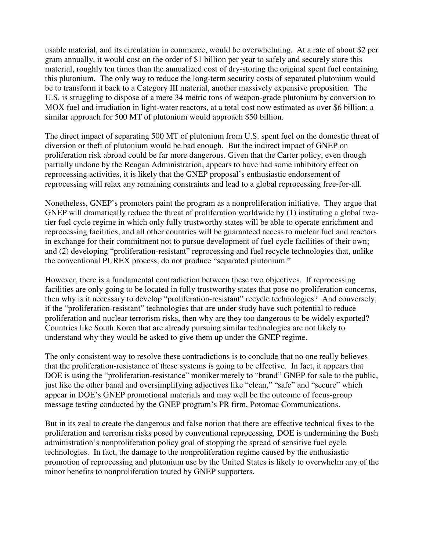usable material, and its circulation in commerce, would be overwhelming. At a rate of about \$2 per gram annually, it would cost on the order of \$1 billion per year to safely and securely store this material, roughly ten times than the annualized cost of dry-storing the original spent fuel containing this plutonium. The only way to reduce the long-term security costs of separated plutonium would be to transform it back to a Category III material, another massively expensive proposition. The U.S. is struggling to dispose of a mere 34 metric tons of weapon-grade plutonium by conversion to MOX fuel and irradiation in light-water reactors, at a total cost now estimated as over \$6 billion; a similar approach for 500 MT of plutonium would approach \$50 billion.

The direct impact of separating 500 MT of plutonium from U.S. spent fuel on the domestic threat of diversion or theft of plutonium would be bad enough. But the indirect impact of GNEP on proliferation risk abroad could be far more dangerous. Given that the Carter policy, even though partially undone by the Reagan Administration, appears to have had some inhibitory effect on reprocessing activities, it is likely that the GNEP proposal's enthusiastic endorsement of reprocessing will relax any remaining constraints and lead to a global reprocessing free-for-all.

Nonetheless, GNEP's promoters paint the program as a nonproliferation initiative. They argue that GNEP will dramatically reduce the threat of proliferation worldwide by (1) instituting a global twotier fuel cycle regime in which only fully trustworthy states will be able to operate enrichment and reprocessing facilities, and all other countries will be guaranteed access to nuclear fuel and reactors in exchange for their commitment not to pursue development of fuel cycle facilities of their own; and (2) developing "proliferation-resistant" reprocessing and fuel recycle technologies that, unlike the conventional PUREX process, do not produce "separated plutonium."

However, there is a fundamental contradiction between these two objectives. If reprocessing facilities are only going to be located in fully trustworthy states that pose no proliferation concerns, then why is it necessary to develop "proliferation-resistant" recycle technologies? And conversely, if the "proliferation-resistant" technologies that are under study have such potential to reduce proliferation and nuclear terrorism risks, then why are they too dangerous to be widely exported? Countries like South Korea that are already pursuing similar technologies are not likely to understand why they would be asked to give them up under the GNEP regime.

The only consistent way to resolve these contradictions is to conclude that no one really believes that the proliferation-resistance of these systems is going to be effective. In fact, it appears that DOE is using the "proliferation-resistance" moniker merely to "brand" GNEP for sale to the public, just like the other banal and oversimplifying adjectives like "clean," "safe" and "secure" which appear in DOE's GNEP promotional materials and may well be the outcome of focus-group message testing conducted by the GNEP program's PR firm, Potomac Communications.

But in its zeal to create the dangerous and false notion that there are effective technical fixes to the proliferation and terrorism risks posed by conventional reprocessing, DOE is undermining the Bush administration's nonproliferation policy goal of stopping the spread of sensitive fuel cycle technologies. In fact, the damage to the nonproliferation regime caused by the enthusiastic promotion of reprocessing and plutonium use by the United States is likely to overwhelm any of the minor benefits to nonproliferation touted by GNEP supporters.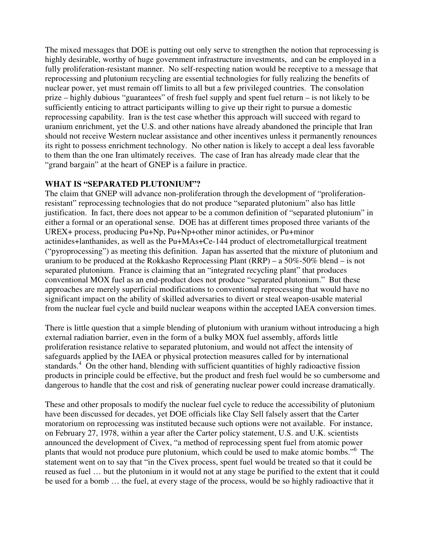The mixed messages that DOE is putting out only serve to strengthen the notion that reprocessing is highly desirable, worthy of huge government infrastructure investments, and can be employed in a fully proliferation-resistant manner. No self-respecting nation would be receptive to a message that reprocessing and plutonium recycling are essential technologies for fully realizing the benefits of nuclear power, yet must remain off limits to all but a few privileged countries. The consolation prize – highly dubious "guarantees" of fresh fuel supply and spent fuel return – is not likely to be sufficiently enticing to attract participants willing to give up their right to pursue a domestic reprocessing capability. Iran is the test case whether this approach will succeed with regard to uranium enrichment, yet the U.S. and other nations have already abandoned the principle that Iran should not receive Western nuclear assistance and other incentives unless it permanently renounces its right to possess enrichment technology. No other nation is likely to accept a deal less favorable to them than the one Iran ultimately receives. The case of Iran has already made clear that the "grand bargain" at the heart of GNEP is a failure in practice.

# **WHAT IS "SEPARATED PLUTONIUM"?**

The claim that GNEP will advance non-proliferation through the development of "proliferationresistant" reprocessing technologies that do not produce "separated plutonium" also has little justification. In fact, there does not appear to be a common definition of "separated plutonium" in either a formal or an operational sense. DOE has at different times proposed three variants of the UREX+ process, producing Pu+Np, Pu+Np+other minor actinides, or Pu+minor actinides+lanthanides, as well as the Pu+MAs+Ce-144 product of electrometallurgical treatment ("pyroprocessing") as meeting this definition. Japan has asserted that the mixture of plutonium and uranium to be produced at the Rokkasho Reprocessing Plant (RRP) – a 50%-50% blend – is not separated plutonium. France is claiming that an "integrated recycling plant" that produces conventional MOX fuel as an end-product does not produce "separated plutonium." But these approaches are merely superficial modifications to conventional reprocessing that would have no significant impact on the ability of skilled adversaries to divert or steal weapon-usable material from the nuclear fuel cycle and build nuclear weapons within the accepted IAEA conversion times.

There is little question that a simple blending of plutonium with uranium without introducing a high external radiation barrier, even in the form of a bulky MOX fuel assembly, affords little proliferation resistance relative to separated plutonium, and would not affect the intensity of safeguards applied by the IAEA or physical protection measures called for by international standards.<sup>4</sup> On the other hand, blending with sufficient quantities of highly radioactive fission products in principle could be effective, but the product and fresh fuel would be so cumbersome and dangerous to handle that the cost and risk of generating nuclear power could increase dramatically.

These and other proposals to modify the nuclear fuel cycle to reduce the accessibility of plutonium have been discussed for decades, yet DOE officials like Clay Sell falsely assert that the Carter moratorium on reprocessing was instituted because such options were not available. For instance, on February 27, 1978, within a year after the Carter policy statement, U.S. and U.K. scientists announced the development of Civex, "a method of reprocessing spent fuel from atomic power plants that would not produce pure plutonium, which could be used to make atomic bombs."<sup>6</sup> The statement went on to say that "in the Civex process, spent fuel would be treated so that it could be reused as fuel … but the plutonium in it would not at any stage be purified to the extent that it could be used for a bomb … the fuel, at every stage of the process, would be so highly radioactive that it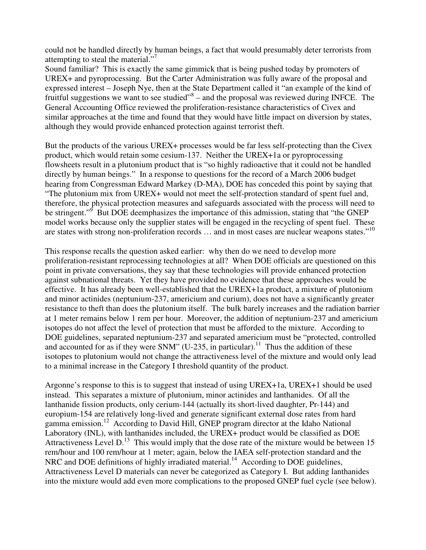could not be handled directly by human beings, a fact that would presumably deter terrorists from attempting to steal the material."<sup>7</sup>

Sound familiar? This is exactly the same gimmick that is being pushed today by promoters of UREX+ and pyroprocessing. But the Carter Administration was fully aware of the proposal and expressed interest – Joseph Nye, then at the State Department called it "an example of the kind of fruitful suggestions we want to see studied"<sup>8</sup> – and the proposal was reviewed during INFCE. The General Accounting Office reviewed the proliferation-resistance characteristics of Civex and similar approaches at the time and found that they would have little impact on diversion by states, although they would provide enhanced protection against terrorist theft.

But the products of the various UREX+ processes would be far less self-protecting than the Civex product, which would retain some cesium-137. Neither the UREX+1a or pyroprocessing flowsheets result in a plutonium product that is "so highly radioactive that it could not be handled directly by human beings." In a response to questions for the record of a March 2006 budget hearing from Congressman Edward Markey (D-MA), DOE has conceded this point by saying that "The plutonium mix from UREX+ would not meet the self-protection standard of spent fuel and, therefore, the physical protection measures and safeguards associated with the process will need to be stringent."<sup>9</sup> But DOE deemphasizes the importance of this admission, stating that "the GNEP model works because only the supplier states will be engaged in the recycling of spent fuel. These are states with strong non-proliferation records ... and in most cases are nuclear weapons states."<sup>10</sup>

This response recalls the question asked earlier: why then do we need to develop more proliferation-resistant reprocessing technologies at all? When DOE officials are questioned on this point in private conversations, they say that these technologies will provide enhanced protection against subnational threats. Yet they have provided no evidence that these approaches would be effective. It has already been well-established that the UREX+1a product, a mixture of plutonium and minor actinides (neptunium-237, americium and curium), does not have a significantly greater resistance to theft than does the plutonium itself. The bulk barely increases and the radiation barrier at 1 meter remains below 1 rem per hour. Moreover, the addition of neptunium-237 and americium isotopes do not affect the level of protection that must be afforded to the mixture. According to DOE guidelines, separated neptunium-237 and separated americium must be "protected, controlled and accounted for as if they were SNM" (U-235, in particular).<sup>11</sup> Thus the addition of these isotopes to plutonium would not change the attractiveness level of the mixture and would only lead to a minimal increase in the Category I threshold quantity of the product.

Argonne's response to this is to suggest that instead of using UREX+1a, UREX+1 should be used instead. This separates a mixture of plutonium, minor actinides and lanthanides. Of all the lanthanide fission products, only cerium-144 (actually its short-lived daughter, Pr-144) and europium-154 are relatively long-lived and generate significant external dose rates from hard gamma emission.<sup>12</sup> According to David Hill, GNEP program director at the Idaho National Laboratory (INL), with lanthanides included, the UREX+ product would be classified as DOE Attractiveness Level D.<sup>13</sup> This would imply that the dose rate of the mixture would be between 15 rem/hour and 100 rem/hour at 1 meter; again, below the IAEA self-protection standard and the NRC and DOE definitions of highly irradiated material.<sup>14</sup> According to DOE guidelines, Attractiveness Level D materials can never be categorized as Category I. But adding lanthanides into the mixture would add even more complications to the proposed GNEP fuel cycle (see below).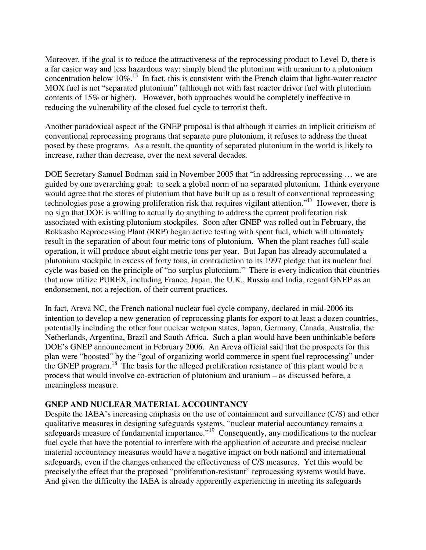Moreover, if the goal is to reduce the attractiveness of the reprocessing product to Level D, there is a far easier way and less hazardous way: simply blend the plutonium with uranium to a plutonium concentration below  $10\%$ <sup>15</sup>. In fact, this is consistent with the French claim that light-water reactor MOX fuel is not "separated plutonium" (although not with fast reactor driver fuel with plutonium contents of 15% or higher). However, both approaches would be completely ineffective in reducing the vulnerability of the closed fuel cycle to terrorist theft.

Another paradoxical aspect of the GNEP proposal is that although it carries an implicit criticism of conventional reprocessing programs that separate pure plutonium, it refuses to address the threat posed by these programs. As a result, the quantity of separated plutonium in the world is likely to increase, rather than decrease, over the next several decades.

DOE Secretary Samuel Bodman said in November 2005 that "in addressing reprocessing … we are guided by one overarching goal: to seek a global norm of no separated plutonium. I think everyone would agree that the stores of plutonium that have built up as a result of conventional reprocessing technologies pose a growing proliferation risk that requires vigilant attention."<sup>17</sup> However, there is no sign that DOE is willing to actually do anything to address the current proliferation risk associated with existing plutonium stockpiles. Soon after GNEP was rolled out in February, the Rokkasho Reprocessing Plant (RRP) began active testing with spent fuel, which will ultimately result in the separation of about four metric tons of plutonium. When the plant reaches full-scale operation, it will produce about eight metric tons per year. But Japan has already accumulated a plutonium stockpile in excess of forty tons, in contradiction to its 1997 pledge that its nuclear fuel cycle was based on the principle of "no surplus plutonium." There is every indication that countries that now utilize PUREX, including France, Japan, the U.K., Russia and India, regard GNEP as an endorsement, not a rejection, of their current practices.

In fact, Areva NC, the French national nuclear fuel cycle company, declared in mid-2006 its intention to develop a new generation of reprocessing plants for export to at least a dozen countries, potentially including the other four nuclear weapon states, Japan, Germany, Canada, Australia, the Netherlands, Argentina, Brazil and South Africa. Such a plan would have been unthinkable before DOE's GNEP announcement in February 2006. An Areva official said that the prospects for this plan were "boosted" by the "goal of organizing world commerce in spent fuel reprocessing" under the GNEP program.<sup>18</sup> The basis for the alleged proliferation resistance of this plant would be a process that would involve co-extraction of plutonium and uranium – as discussed before, a meaningless measure.

## **GNEP AND NUCLEAR MATERIAL ACCOUNTANCY**

Despite the IAEA's increasing emphasis on the use of containment and surveillance (C/S) and other qualitative measures in designing safeguards systems, "nuclear material accountancy remains a safeguards measure of fundamental importance."<sup>19</sup> Consequently, any modifications to the nuclear fuel cycle that have the potential to interfere with the application of accurate and precise nuclear material accountancy measures would have a negative impact on both national and international safeguards, even if the changes enhanced the effectiveness of C/S measures. Yet this would be precisely the effect that the proposed "proliferation-resistant" reprocessing systems would have. And given the difficulty the IAEA is already apparently experiencing in meeting its safeguards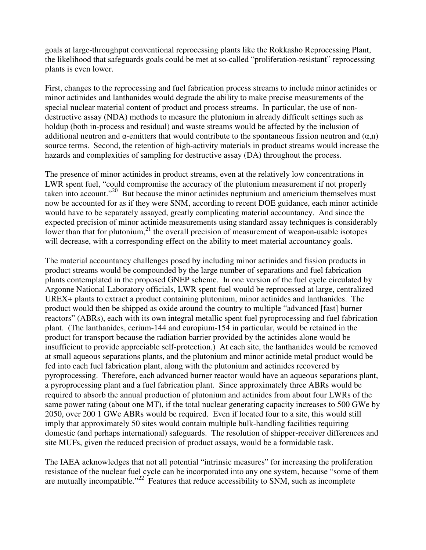goals at large-throughput conventional reprocessing plants like the Rokkasho Reprocessing Plant, the likelihood that safeguards goals could be met at so-called "proliferation-resistant" reprocessing plants is even lower.

First, changes to the reprocessing and fuel fabrication process streams to include minor actinides or minor actinides and lanthanides would degrade the ability to make precise measurements of the special nuclear material content of product and process streams. In particular, the use of nondestructive assay (NDA) methods to measure the plutonium in already difficult settings such as holdup (both in-process and residual) and waste streams would be affected by the inclusion of additional neutron and  $\alpha$ -emitters that would contribute to the spontaneous fission neutron and  $(\alpha, n)$ source terms. Second, the retention of high-activity materials in product streams would increase the hazards and complexities of sampling for destructive assay (DA) throughout the process.

The presence of minor actinides in product streams, even at the relatively low concentrations in LWR spent fuel, "could compromise the accuracy of the plutonium measurement if not properly taken into account."<sup>20</sup> But because the minor actinides neptunium and americium themselves must now be accounted for as if they were SNM, according to recent DOE guidance, each minor actinide would have to be separately assayed, greatly complicating material accountancy. And since the expected precision of minor actinide measurements using standard assay techniques is considerably lower than that for plutonium,<sup>21</sup> the overall precision of measurement of weapon-usable isotopes will decrease, with a corresponding effect on the ability to meet material accountancy goals.

The material accountancy challenges posed by including minor actinides and fission products in product streams would be compounded by the large number of separations and fuel fabrication plants contemplated in the proposed GNEP scheme. In one version of the fuel cycle circulated by Argonne National Laboratory officials, LWR spent fuel would be reprocessed at large, centralized UREX+ plants to extract a product containing plutonium, minor actinides and lanthanides. The product would then be shipped as oxide around the country to multiple "advanced [fast] burner reactors" (ABRs), each with its own integral metallic spent fuel pyroprocessing and fuel fabrication plant. (The lanthanides, cerium-144 and europium-154 in particular, would be retained in the product for transport because the radiation barrier provided by the actinides alone would be insufficient to provide appreciable self-protection.) At each site, the lanthanides would be removed at small aqueous separations plants, and the plutonium and minor actinide metal product would be fed into each fuel fabrication plant, along with the plutonium and actinides recovered by pyroprocessing. Therefore, each advanced burner reactor would have an aqueous separations plant, a pyroprocessing plant and a fuel fabrication plant. Since approximately three ABRs would be required to absorb the annual production of plutonium and actinides from about four LWRs of the same power rating (about one MT), if the total nuclear generating capacity increases to 500 GWe by 2050, over 200 1 GWe ABRs would be required. Even if located four to a site, this would still imply that approximately 50 sites would contain multiple bulk-handling facilities requiring domestic (and perhaps international) safeguards. The resolution of shipper-receiver differences and site MUFs, given the reduced precision of product assays, would be a formidable task.

The IAEA acknowledges that not all potential "intrinsic measures" for increasing the proliferation resistance of the nuclear fuel cycle can be incorporated into any one system, because "some of them are mutually incompatible."<sup>22</sup> Features that reduce accessibility to SNM, such as incomplete